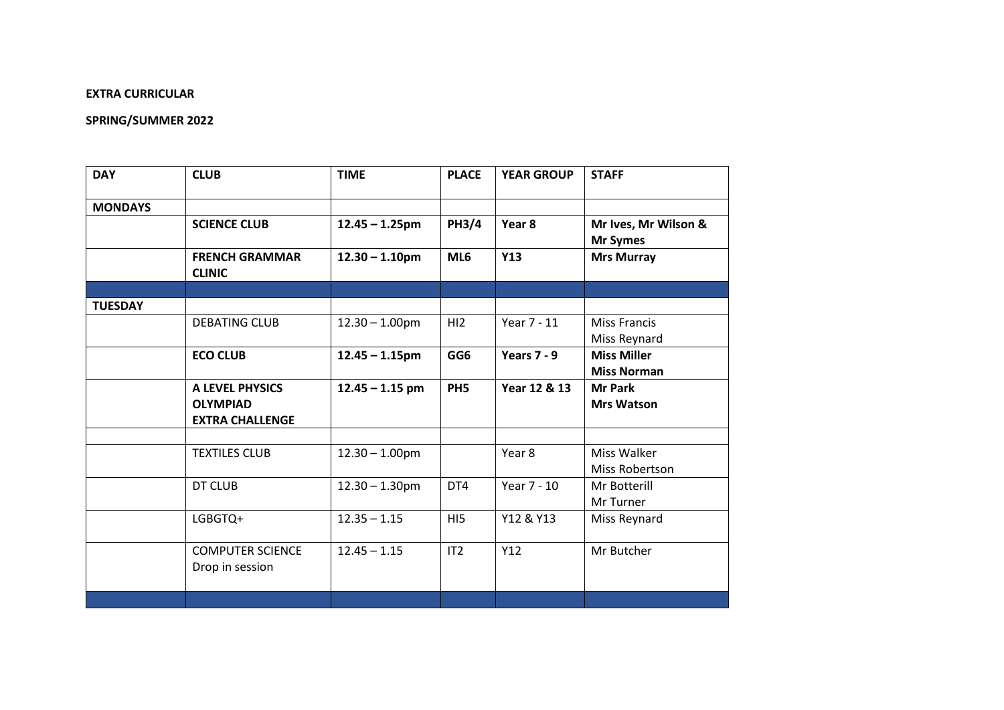## **EXTRA CURRICULAR**

## **SPRING/SUMMER 2022**

| <b>DAY</b>     | <b>CLUB</b>                                                  | <b>TIME</b>       | <b>PLACE</b>    | <b>YEAR GROUP</b> | <b>STAFF</b>                             |
|----------------|--------------------------------------------------------------|-------------------|-----------------|-------------------|------------------------------------------|
| <b>MONDAYS</b> |                                                              |                   |                 |                   |                                          |
|                | <b>SCIENCE CLUB</b>                                          | $12.45 - 1.25$ pm | <b>PH3/4</b>    | Year 8            | Mr Ives, Mr Wilson &<br><b>Mr Symes</b>  |
|                | <b>FRENCH GRAMMAR</b><br><b>CLINIC</b>                       | $12.30 - 1.10$ pm | ML6             | Y13               | <b>Mrs Murray</b>                        |
|                |                                                              |                   |                 |                   |                                          |
| <b>TUESDAY</b> |                                                              |                   |                 |                   |                                          |
|                | <b>DEBATING CLUB</b>                                         | $12.30 - 1.00$ pm | H <sub>12</sub> | Year 7 - 11       | <b>Miss Francis</b><br>Miss Reynard      |
|                | <b>ECO CLUB</b>                                              | $12.45 - 1.15$ pm | GG6             | Years $7 - 9$     | <b>Miss Miller</b><br><b>Miss Norman</b> |
|                | A LEVEL PHYSICS<br><b>OLYMPIAD</b><br><b>EXTRA CHALLENGE</b> | $12.45 - 1.15$ pm | PH <sub>5</sub> | Year 12 & 13      | <b>Mr Park</b><br><b>Mrs Watson</b>      |
|                |                                                              |                   |                 |                   |                                          |
|                | <b>TEXTILES CLUB</b>                                         | $12.30 - 1.00$ pm |                 | Year 8            | Miss Walker<br>Miss Robertson            |
|                | DT CLUB                                                      | $12.30 - 1.30$ pm | DT4             | Year 7 - 10       | Mr Botterill<br>Mr Turner                |
|                | LGBGTQ+                                                      | $12.35 - 1.15$    | HI <sub>5</sub> | Y12 & Y13         | Miss Reynard                             |
|                | <b>COMPUTER SCIENCE</b><br>Drop in session                   | $12.45 - 1.15$    | IT2             | Y12               | Mr Butcher                               |
|                |                                                              |                   |                 |                   |                                          |